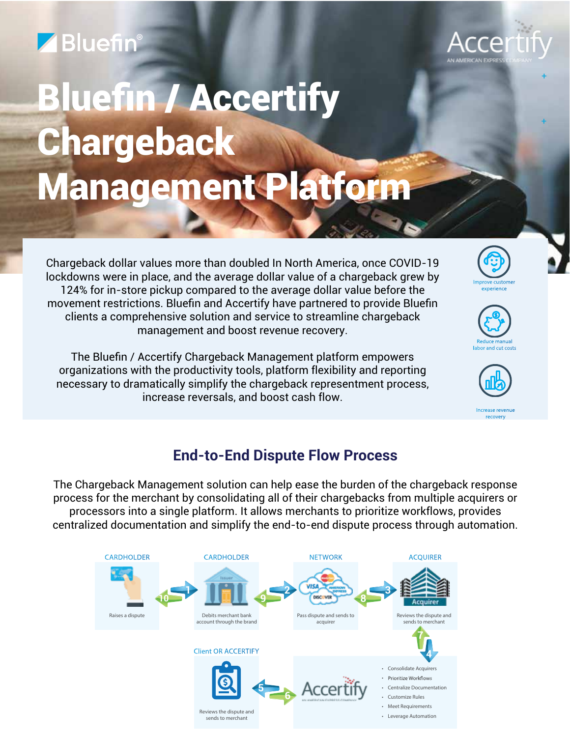## Bluefin®



+

+

# Bluefin / Accertify Chargeback Management Platform

Chargeback dollar values more than doubled In North America, once COVID-19 lockdowns were in place, and the average dollar value of a chargeback grew by 124% for in-store pickup compared to the average dollar value before the movement restrictions. Bluefin and Accertify have partnered to provide Bluefin clients a comprehensive solution and service to streamline chargeback management and boost revenue recovery.

The Bluefin / Accertify Chargeback Management platform empowers organizations with the productivity tools, platform flexibility and reporting necessary to dramatically simplify the chargeback representment process, increase reversals, and boost cash flow.







## **End-to-End Dispute Flow Process**

The Chargeback Management solution can help ease the burden of the chargeback response process for the merchant by consolidating all of their chargebacks from multiple acquirers or processors into a single platform. It allows merchants to prioritize workflows, provides centralized documentation and simplify the end-to-end dispute process through automation.